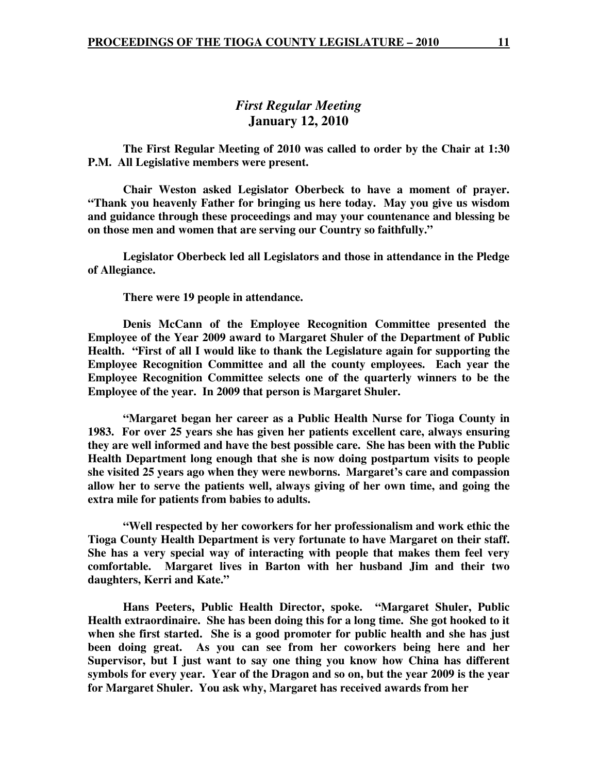# *First Regular Meeting*  **January 12, 2010**

 **The First Regular Meeting of 2010 was called to order by the Chair at 1:30 P.M. All Legislative members were present.** 

**Chair Weston asked Legislator Oberbeck to have a moment of prayer. "Thank you heavenly Father for bringing us here today. May you give us wisdom and guidance through these proceedings and may your countenance and blessing be on those men and women that are serving our Country so faithfully."** 

 **Legislator Oberbeck led all Legislators and those in attendance in the Pledge of Allegiance.** 

 **There were 19 people in attendance.** 

**Denis McCann of the Employee Recognition Committee presented the Employee of the Year 2009 award to Margaret Shuler of the Department of Public Health. "First of all I would like to thank the Legislature again for supporting the Employee Recognition Committee and all the county employees. Each year the Employee Recognition Committee selects one of the quarterly winners to be the Employee of the year. In 2009 that person is Margaret Shuler.** 

 **"Margaret began her career as a Public Health Nurse for Tioga County in 1983. For over 25 years she has given her patients excellent care, always ensuring they are well informed and have the best possible care. She has been with the Public Health Department long enough that she is now doing postpartum visits to people she visited 25 years ago when they were newborns. Margaret's care and compassion allow her to serve the patients well, always giving of her own time, and going the extra mile for patients from babies to adults.** 

 **"Well respected by her coworkers for her professionalism and work ethic the Tioga County Health Department is very fortunate to have Margaret on their staff. She has a very special way of interacting with people that makes them feel very comfortable. Margaret lives in Barton with her husband Jim and their two daughters, Kerri and Kate."** 

 **Hans Peeters, Public Health Director, spoke. "Margaret Shuler, Public Health extraordinaire. She has been doing this for a long time. She got hooked to it when she first started. She is a good promoter for public health and she has just been doing great. As you can see from her coworkers being here and her Supervisor, but I just want to say one thing you know how China has different symbols for every year. Year of the Dragon and so on, but the year 2009 is the year for Margaret Shuler. You ask why, Margaret has received awards from her**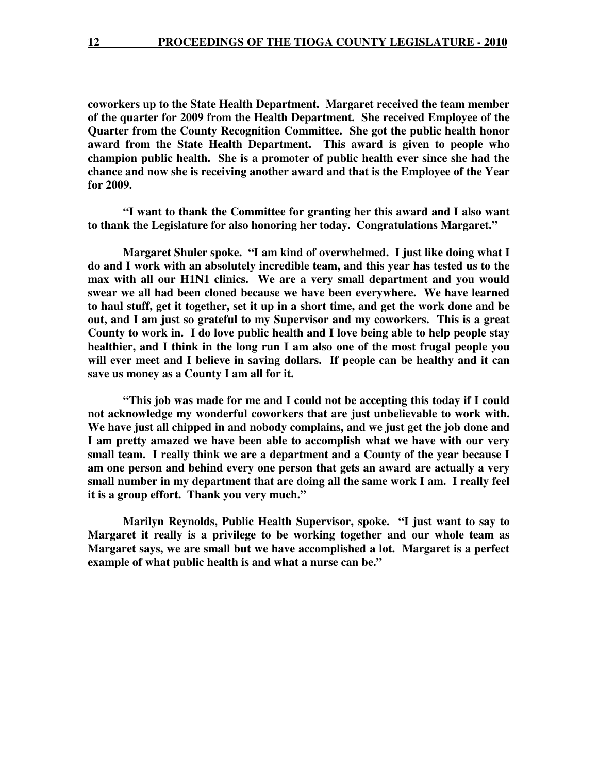**coworkers up to the State Health Department. Margaret received the team member of the quarter for 2009 from the Health Department. She received Employee of the Quarter from the County Recognition Committee. She got the public health honor award from the State Health Department. This award is given to people who champion public health. She is a promoter of public health ever since she had the chance and now she is receiving another award and that is the Employee of the Year for 2009.** 

 **"I want to thank the Committee for granting her this award and I also want to thank the Legislature for also honoring her today. Congratulations Margaret."** 

 **Margaret Shuler spoke. "I am kind of overwhelmed. I just like doing what I do and I work with an absolutely incredible team, and this year has tested us to the max with all our H1N1 clinics. We are a very small department and you would swear we all had been cloned because we have been everywhere. We have learned to haul stuff, get it together, set it up in a short time, and get the work done and be out, and I am just so grateful to my Supervisor and my coworkers. This is a great County to work in. I do love public health and I love being able to help people stay healthier, and I think in the long run I am also one of the most frugal people you will ever meet and I believe in saving dollars. If people can be healthy and it can save us money as a County I am all for it.** 

 **"This job was made for me and I could not be accepting this today if I could not acknowledge my wonderful coworkers that are just unbelievable to work with. We have just all chipped in and nobody complains, and we just get the job done and I am pretty amazed we have been able to accomplish what we have with our very small team. I really think we are a department and a County of the year because I am one person and behind every one person that gets an award are actually a very small number in my department that are doing all the same work I am. I really feel it is a group effort. Thank you very much."** 

 **Marilyn Reynolds, Public Health Supervisor, spoke. "I just want to say to Margaret it really is a privilege to be working together and our whole team as Margaret says, we are small but we have accomplished a lot. Margaret is a perfect example of what public health is and what a nurse can be."**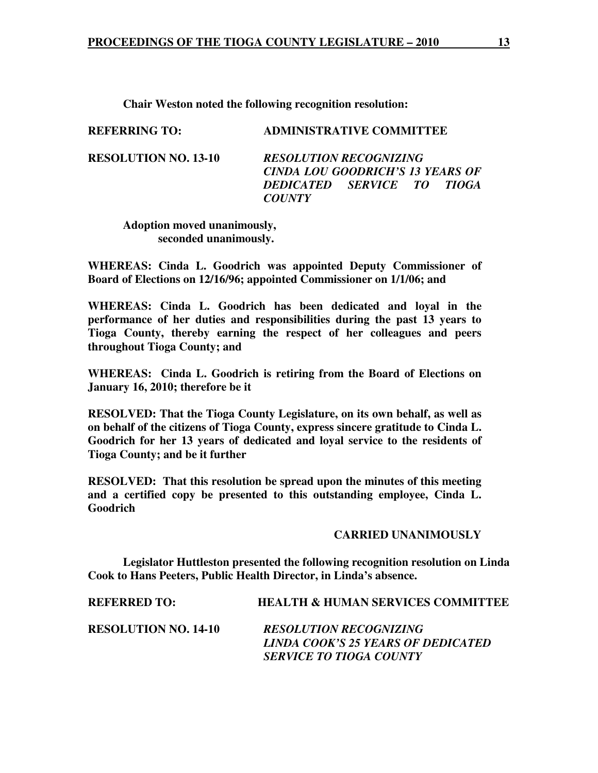**Chair Weston noted the following recognition resolution:** 

| <b>REFERRING TO:</b>        | <b>ADMINISTRATIVE COMMITTEE</b>                                                                                         |
|-----------------------------|-------------------------------------------------------------------------------------------------------------------------|
| <b>RESOLUTION NO. 13-10</b> | <b>RESOLUTION RECOGNIZING</b><br><b>CINDA LOU GOODRICH'S 13 YEARS OF</b><br>DEDICATED SERVICE TO TIOGA<br><i>COUNTY</i> |

 **Adoption moved unanimously, seconded unanimously.** 

**WHEREAS: Cinda L. Goodrich was appointed Deputy Commissioner of Board of Elections on 12/16/96; appointed Commissioner on 1/1/06; and** 

**WHEREAS: Cinda L. Goodrich has been dedicated and loyal in the performance of her duties and responsibilities during the past 13 years to Tioga County, thereby earning the respect of her colleagues and peers throughout Tioga County; and** 

**WHEREAS: Cinda L. Goodrich is retiring from the Board of Elections on January 16, 2010; therefore be it** 

**RESOLVED: That the Tioga County Legislature, on its own behalf, as well as on behalf of the citizens of Tioga County, express sincere gratitude to Cinda L. Goodrich for her 13 years of dedicated and loyal service to the residents of Tioga County; and be it further** 

**RESOLVED: That this resolution be spread upon the minutes of this meeting and a certified copy be presented to this outstanding employee, Cinda L. Goodrich** 

#### **CARRIED UNANIMOUSLY**

 **Legislator Huttleston presented the following recognition resolution on Linda Cook to Hans Peeters, Public Health Director, in Linda's absence.** 

| <b>REFERRED TO:</b>         | <b>HEALTH &amp; HUMAN SERVICES COMMITTEE</b>                        |
|-----------------------------|---------------------------------------------------------------------|
| <b>RESOLUTION NO. 14-10</b> | <b>RESOLUTION RECOGNIZING</b><br>LINDA COOK'S 25 YEARS OF DEDICATED |
|                             | SERVICE TO TIOGA COUNTY                                             |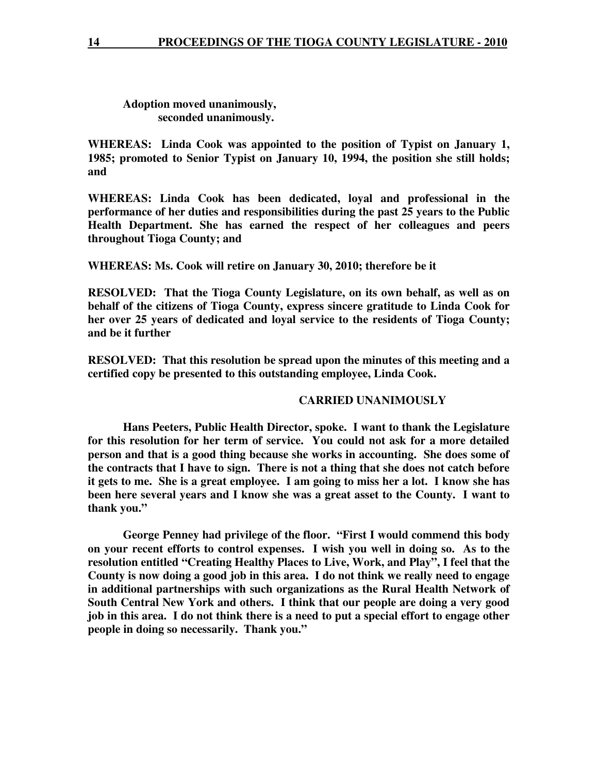**Adoption moved unanimously, seconded unanimously.** 

**WHEREAS: Linda Cook was appointed to the position of Typist on January 1, 1985; promoted to Senior Typist on January 10, 1994, the position she still holds; and** 

**WHEREAS: Linda Cook has been dedicated, loyal and professional in the performance of her duties and responsibilities during the past 25 years to the Public Health Department. She has earned the respect of her colleagues and peers throughout Tioga County; and** 

**WHEREAS: Ms. Cook will retire on January 30, 2010; therefore be it** 

**RESOLVED: That the Tioga County Legislature, on its own behalf, as well as on behalf of the citizens of Tioga County, express sincere gratitude to Linda Cook for her over 25 years of dedicated and loyal service to the residents of Tioga County; and be it further** 

**RESOLVED: That this resolution be spread upon the minutes of this meeting and a certified copy be presented to this outstanding employee, Linda Cook.** 

#### **CARRIED UNANIMOUSLY**

 **Hans Peeters, Public Health Director, spoke. I want to thank the Legislature for this resolution for her term of service. You could not ask for a more detailed person and that is a good thing because she works in accounting. She does some of the contracts that I have to sign. There is not a thing that she does not catch before it gets to me. She is a great employee. I am going to miss her a lot. I know she has been here several years and I know she was a great asset to the County. I want to thank you."** 

 **George Penney had privilege of the floor. "First I would commend this body on your recent efforts to control expenses. I wish you well in doing so. As to the resolution entitled "Creating Healthy Places to Live, Work, and Play", I feel that the County is now doing a good job in this area. I do not think we really need to engage in additional partnerships with such organizations as the Rural Health Network of South Central New York and others. I think that our people are doing a very good job in this area. I do not think there is a need to put a special effort to engage other people in doing so necessarily. Thank you."**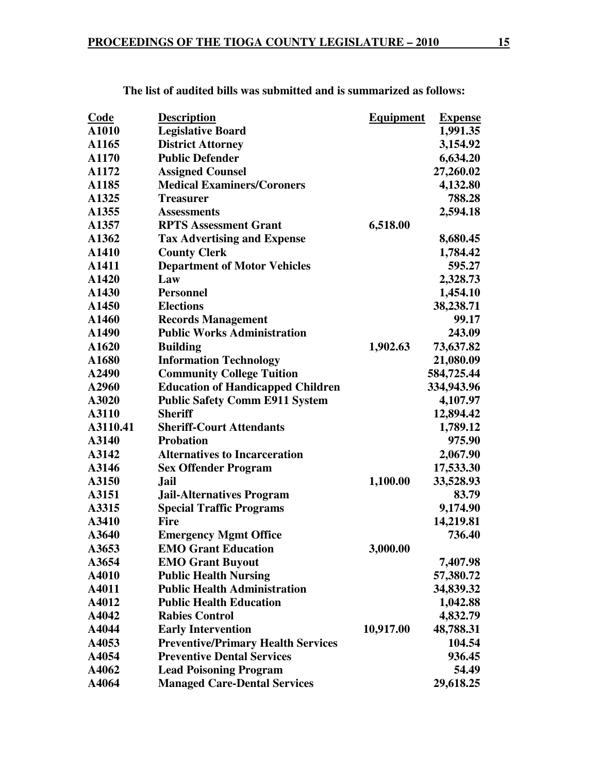| <b>Code</b> | <b>Description</b>                        | <b>Equipment</b> | <b>Expense</b> |
|-------------|-------------------------------------------|------------------|----------------|
| A1010       | <b>Legislative Board</b>                  |                  | 1,991.35       |
| A1165       | <b>District Attorney</b>                  |                  | 3,154.92       |
| A1170       | <b>Public Defender</b>                    |                  | 6,634.20       |
| A1172       | <b>Assigned Counsel</b>                   |                  | 27,260.02      |
| A1185       | <b>Medical Examiners/Coroners</b>         |                  | 4,132.80       |
| A1325       | <b>Treasurer</b>                          |                  | 788.28         |
| A1355       | <b>Assessments</b>                        |                  | 2,594.18       |
| A1357       | <b>RPTS Assessment Grant</b>              | 6,518.00         |                |
| A1362       | <b>Tax Advertising and Expense</b>        |                  | 8,680.45       |
| A1410       | <b>County Clerk</b>                       |                  | 1,784.42       |
| A1411       | <b>Department of Motor Vehicles</b>       |                  | 595.27         |
| A1420       | Law                                       |                  | 2,328.73       |
| A1430       | <b>Personnel</b>                          |                  | 1,454.10       |
| A1450       | <b>Elections</b>                          |                  | 38,238.71      |
| A1460       | <b>Records Management</b>                 |                  | 99.17          |
| A1490       | <b>Public Works Administration</b>        |                  | 243.09         |
| A1620       | <b>Building</b>                           | 1,902.63         | 73,637.82      |
| A1680       | <b>Information Technology</b>             |                  | 21,080.09      |
| A2490       | <b>Community College Tuition</b>          |                  | 584,725.44     |
| A2960       | <b>Education of Handicapped Children</b>  |                  | 334,943.96     |
| A3020       | <b>Public Safety Comm E911 System</b>     |                  | 4,107.97       |
| A3110       | <b>Sheriff</b>                            |                  | 12,894.42      |
| A3110.41    | <b>Sheriff-Court Attendants</b>           |                  | 1,789.12       |
| A3140       | <b>Probation</b>                          |                  | 975.90         |
| A3142       | <b>Alternatives to Incarceration</b>      |                  | 2,067.90       |
| A3146       | <b>Sex Offender Program</b>               |                  | 17,533.30      |
| A3150       | Jail                                      | 1,100.00         | 33,528.93      |
| A3151       | <b>Jail-Alternatives Program</b>          |                  | 83.79          |
| A3315       | <b>Special Traffic Programs</b>           |                  | 9,174.90       |
| A3410       | <b>Fire</b>                               |                  | 14,219.81      |
| A3640       | <b>Emergency Mgmt Office</b>              |                  | 736.40         |
| A3653       | <b>EMO Grant Education</b>                | 3,000.00         |                |
| A3654       | <b>EMO Grant Buyout</b>                   |                  | 7,407.98       |
| A4010       | <b>Public Health Nursing</b>              |                  | 57,380.72      |
| A4011       | <b>Public Health Administration</b>       |                  | 34,839.32      |
| A4012       | <b>Public Health Education</b>            |                  | 1,042.88       |
| A4042       | <b>Rabies Control</b>                     |                  | 4,832.79       |
| A4044       | <b>Early Intervention</b>                 | 10,917.00        | 48,788.31      |
| A4053       | <b>Preventive/Primary Health Services</b> |                  | 104.54         |
| A4054       | <b>Preventive Dental Services</b>         |                  | 936.45         |
| A4062       | <b>Lead Poisoning Program</b>             |                  | 54.49          |
| A4064       | <b>Managed Care-Dental Services</b>       |                  | 29,618.25      |
|             |                                           |                  |                |

**The list of audited bills was submitted and is summarized as follows:**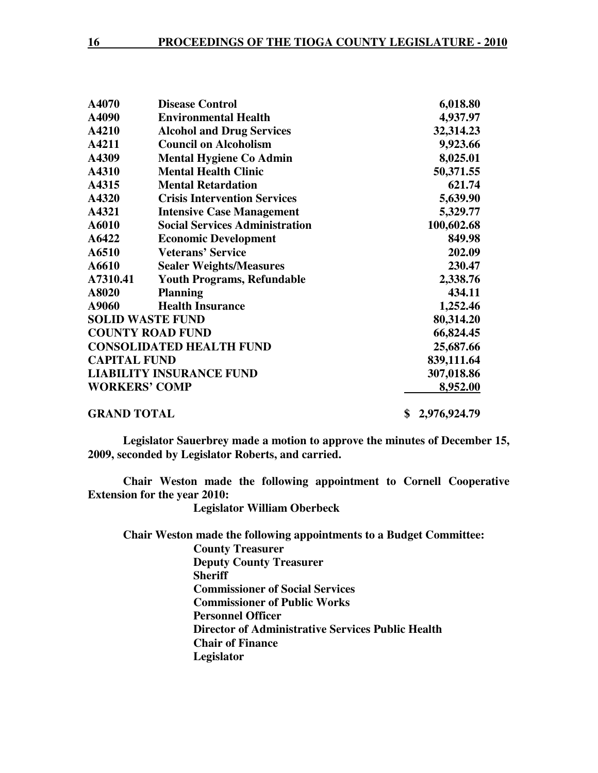| A4070                | <b>Disease Control</b>                | 6,018.80           |
|----------------------|---------------------------------------|--------------------|
| A4090                | <b>Environmental Health</b>           | 4,937.97           |
| A4210                | <b>Alcohol and Drug Services</b>      | 32,314.23          |
| A4211                | <b>Council on Alcoholism</b>          | 9,923.66           |
| A4309                | <b>Mental Hygiene Co Admin</b>        | 8,025.01           |
| A4310                | <b>Mental Health Clinic</b>           | 50,371.55          |
| A4315                | <b>Mental Retardation</b>             | 621.74             |
| A4320                | <b>Crisis Intervention Services</b>   | 5,639.90           |
| A4321                | <b>Intensive Case Management</b>      | 5,329.77           |
| A6010                | <b>Social Services Administration</b> | 100,602.68         |
| A6422                | <b>Economic Development</b>           | 849.98             |
| A6510                | <b>Veterans' Service</b>              | 202.09             |
| A6610                | <b>Sealer Weights/Measures</b>        | 230.47             |
| A7310.41             | <b>Youth Programs, Refundable</b>     | 2,338.76           |
| A8020                | <b>Planning</b>                       | 434.11             |
| A9060                | <b>Health Insurance</b>               | 1,252.46           |
|                      | <b>SOLID WASTE FUND</b>               | 80,314.20          |
|                      | <b>COUNTY ROAD FUND</b>               | 66,824.45          |
|                      | <b>CONSOLIDATED HEALTH FUND</b>       | 25,687.66          |
| <b>CAPITAL FUND</b>  |                                       | 839,111.64         |
|                      | <b>LIABILITY INSURANCE FUND</b>       | 307,018.86         |
| <b>WORKERS' COMP</b> |                                       | 8,952.00           |
| <b>GRAND TOTAL</b>   |                                       | \$<br>2,976,924.79 |

**Legislator Sauerbrey made a motion to approve the minutes of December 15, 2009, seconded by Legislator Roberts, and carried.** 

 **Chair Weston made the following appointment to Cornell Cooperative Extension for the year 2010:** 

 **Legislator William Oberbeck** 

 **Chair Weston made the following appointments to a Budget Committee: County Treasurer Deputy County Treasurer Sheriff Commissioner of Social Services Commissioner of Public Works Personnel Officer Director of Administrative Services Public Health Chair of Finance Legislator**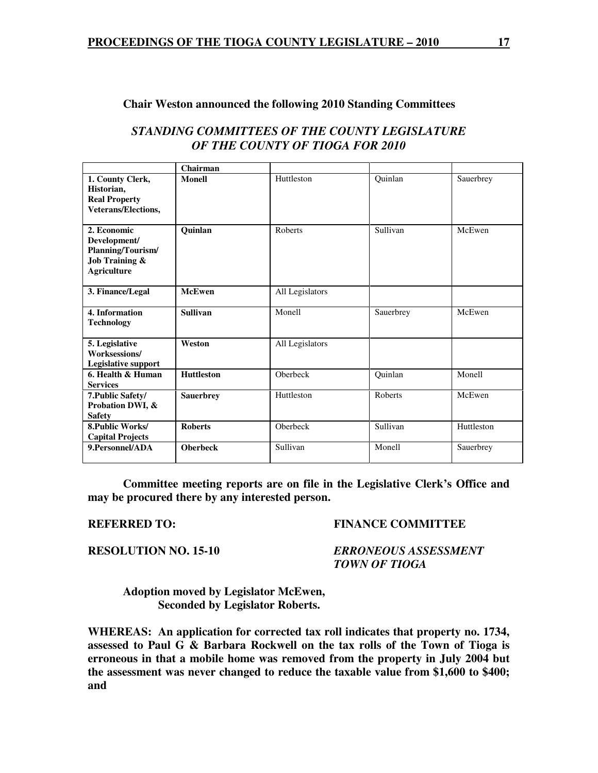### **Chair Weston announced the following 2010 Standing Committees**

# *STANDING COMMITTEES OF THE COUNTY LEGISLATURE OF THE COUNTY OF TIOGA FOR 2010*

|                                                                                                     | Chairman          |                 |           |            |
|-----------------------------------------------------------------------------------------------------|-------------------|-----------------|-----------|------------|
| 1. County Clerk,<br>Historian,<br><b>Real Property</b><br>Veterans/Elections,                       | <b>Monell</b>     | Huttleston      | Quinlan   | Sauerbrey  |
| 2. Economic<br>Development/<br>Planning/Tourism/<br><b>Job Training &amp;</b><br><b>Agriculture</b> | <b>Quinlan</b>    | Roberts         | Sullivan  | McEwen     |
| 3. Finance/Legal                                                                                    | <b>McEwen</b>     | All Legislators |           |            |
| 4. Information<br><b>Technology</b>                                                                 | <b>Sullivan</b>   | Monell          | Sauerbrey | McEwen     |
| 5. Legislative<br>Worksessions/<br><b>Legislative support</b>                                       | Weston            | All Legislators |           |            |
| 6. Health & Human<br><b>Services</b>                                                                | <b>Huttleston</b> | Oberbeck        | Quinlan   | Monell     |
| 7. Public Safety/<br>Probation DWI, &<br><b>Safety</b>                                              | <b>Sauerbrey</b>  | Huttleston      | Roberts   | McEwen     |
| 8. Public Works/<br><b>Capital Projects</b>                                                         | <b>Roberts</b>    | Oberbeck        | Sullivan  | Huttleston |
| 9. Personnel/ADA                                                                                    | <b>Oberbeck</b>   | Sullivan        | Monell    | Sauerbrey  |

**Committee meeting reports are on file in the Legislative Clerk's Office and may be procured there by any interested person.** 

## **REFERRED TO: FINANCE COMMITTEE**

**RESOLUTION NO. 15-10** *ERRONEOUS ASSESSMENT TOWN OF TIOGA* 

 **Adoption moved by Legislator McEwen, Seconded by Legislator Roberts.** 

**WHEREAS: An application for corrected tax roll indicates that property no. 1734, assessed to Paul G & Barbara Rockwell on the tax rolls of the Town of Tioga is erroneous in that a mobile home was removed from the property in July 2004 but the assessment was never changed to reduce the taxable value from \$1,600 to \$400; and**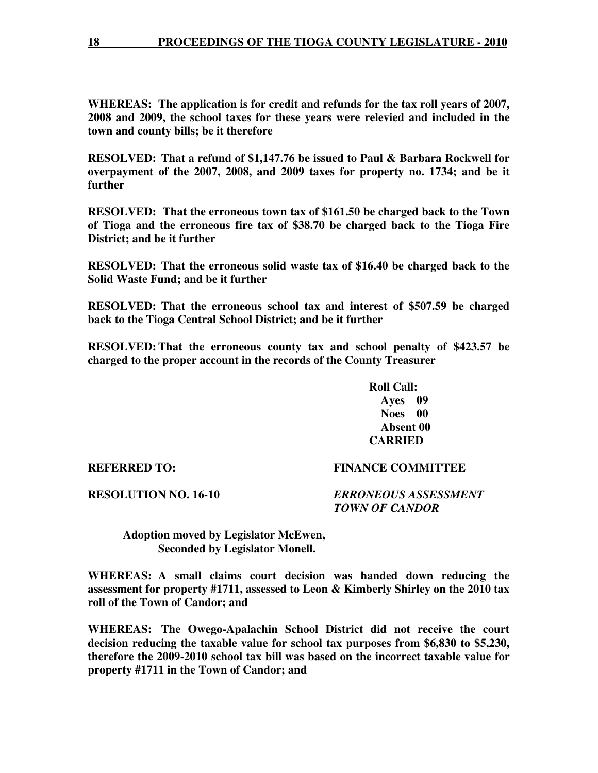**WHEREAS: The application is for credit and refunds for the tax roll years of 2007, 2008 and 2009, the school taxes for these years were relevied and included in the town and county bills; be it therefore** 

**RESOLVED: That a refund of \$1,147.76 be issued to Paul & Barbara Rockwell for overpayment of the 2007, 2008, and 2009 taxes for property no. 1734; and be it further** 

**RESOLVED: That the erroneous town tax of \$161.50 be charged back to the Town of Tioga and the erroneous fire tax of \$38.70 be charged back to the Tioga Fire District; and be it further** 

**RESOLVED: That the erroneous solid waste tax of \$16.40 be charged back to the Solid Waste Fund; and be it further** 

**RESOLVED: That the erroneous school tax and interest of \$507.59 be charged back to the Tioga Central School District; and be it further** 

**RESOLVED: That the erroneous county tax and school penalty of \$423.57 be charged to the proper account in the records of the County Treasurer** 

> **Roll Call: Ayes 09 Noes 00 Absent 00 CARRIED**

**REFERRED TO: FINANCE COMMITTEE** 

**RESOLUTION NO. 16-10** *ERRONEOUS ASSESSMENT TOWN OF CANDOR* 

 **Adoption moved by Legislator McEwen, Seconded by Legislator Monell.** 

**WHEREAS: A small claims court decision was handed down reducing the assessment for property #1711, assessed to Leon & Kimberly Shirley on the 2010 tax roll of the Town of Candor; and** 

**WHEREAS: The Owego-Apalachin School District did not receive the court decision reducing the taxable value for school tax purposes from \$6,830 to \$5,230, therefore the 2009-2010 school tax bill was based on the incorrect taxable value for property #1711 in the Town of Candor; and**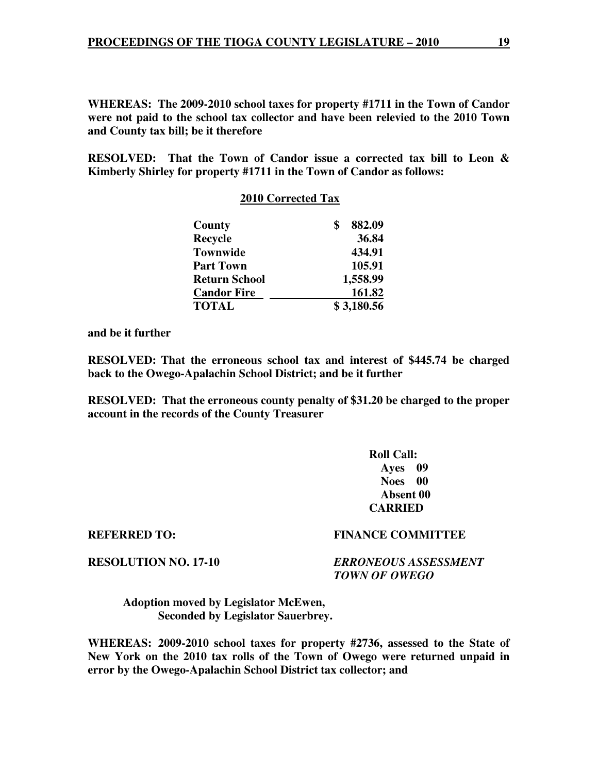**WHEREAS: The 2009-2010 school taxes for property #1711 in the Town of Candor were not paid to the school tax collector and have been relevied to the 2010 Town and County tax bill; be it therefore** 

**RESOLVED: That the Town of Candor issue a corrected tax bill to Leon & Kimberly Shirley for property #1711 in the Town of Candor as follows:** 

| <i>L</i> UIU COFFECIE I ax |              |
|----------------------------|--------------|
| County                     | \$<br>882.09 |
| <b>Recycle</b>             | 36.84        |
| <b>Townwide</b>            | 434.91       |
| <b>Part Town</b>           | 105.91       |
| <b>Return School</b>       | 1,558.99     |
| <b>Candor Fire</b>         | 161.82       |
| <b>TOTAL</b>               | \$3,180.56   |

**2010 C**. *LATE* 

**and be it further** 

**RESOLVED: That the erroneous school tax and interest of \$445.74 be charged back to the Owego-Apalachin School District; and be it further** 

**RESOLVED: That the erroneous county penalty of \$31.20 be charged to the proper account in the records of the County Treasurer** 

> **Roll Call: Ayes 09 Noes 00 Absent 00 CARRIED**

#### **REFERRED TO: FINANCE COMMITTEE**

**RESOLUTION NO. 17-10** *ERRONEOUS ASSESSMENT TOWN OF OWEGO* 

 **Adoption moved by Legislator McEwen, Seconded by Legislator Sauerbrey.** 

**WHEREAS: 2009-2010 school taxes for property #2736, assessed to the State of New York on the 2010 tax rolls of the Town of Owego were returned unpaid in error by the Owego-Apalachin School District tax collector; and**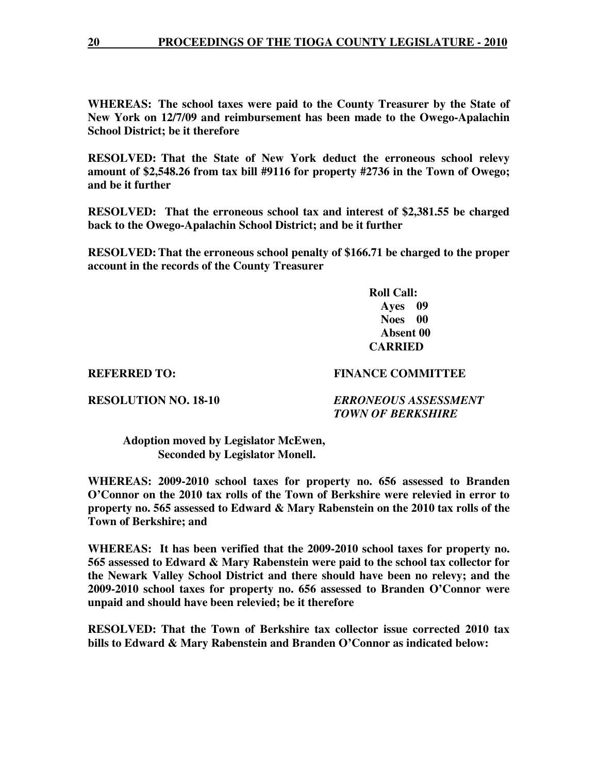**WHEREAS: The school taxes were paid to the County Treasurer by the State of New York on 12/7/09 and reimbursement has been made to the Owego-Apalachin School District; be it therefore** 

**RESOLVED: That the State of New York deduct the erroneous school relevy amount of \$2,548.26 from tax bill #9116 for property #2736 in the Town of Owego; and be it further** 

**RESOLVED: That the erroneous school tax and interest of \$2,381.55 be charged back to the Owego-Apalachin School District; and be it further** 

**RESOLVED: That the erroneous school penalty of \$166.71 be charged to the proper account in the records of the County Treasurer** 

> **Roll Call: Ayes 09 Noes 00 Absent 00 CARRIED**

# **REFERRED TO: FINANCE COMMITTEE**

**RESOLUTION NO. 18-10** *ERRONEOUS ASSESSMENT TOWN OF BERKSHIRE* 

 **Adoption moved by Legislator McEwen, Seconded by Legislator Monell.** 

**WHEREAS: 2009-2010 school taxes for property no. 656 assessed to Branden O'Connor on the 2010 tax rolls of the Town of Berkshire were relevied in error to property no. 565 assessed to Edward & Mary Rabenstein on the 2010 tax rolls of the Town of Berkshire; and** 

**WHEREAS: It has been verified that the 2009-2010 school taxes for property no. 565 assessed to Edward & Mary Rabenstein were paid to the school tax collector for the Newark Valley School District and there should have been no relevy; and the 2009-2010 school taxes for property no. 656 assessed to Branden O'Connor were unpaid and should have been relevied; be it therefore** 

**RESOLVED: That the Town of Berkshire tax collector issue corrected 2010 tax bills to Edward & Mary Rabenstein and Branden O'Connor as indicated below:**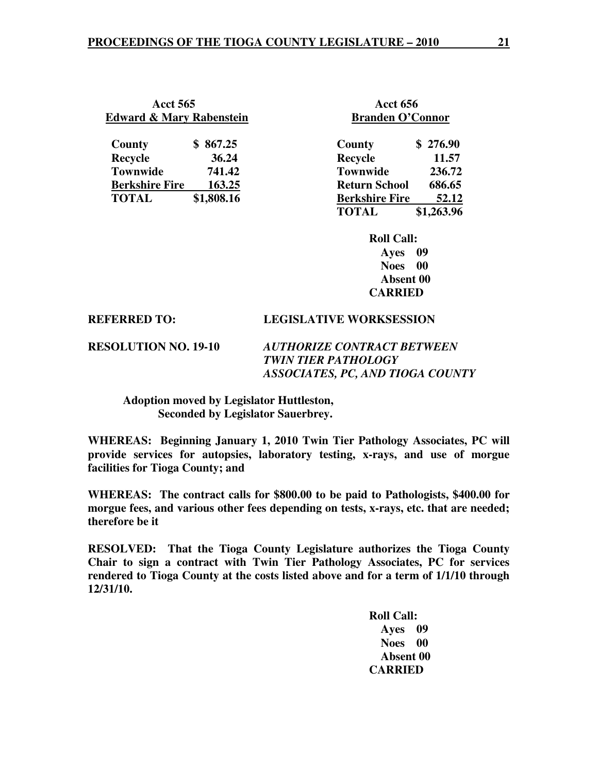| <b>Acct 565</b><br><b>Edward &amp; Mary Rabenstein</b> |            |                       | <b>Acct 656</b><br><b>Branden O'Connor</b> |  |
|--------------------------------------------------------|------------|-----------------------|--------------------------------------------|--|
| County                                                 | \$867.25   | County                | \$276.90                                   |  |
| <b>Recycle</b>                                         | 36.24      | <b>Recycle</b>        | 11.57                                      |  |
| <b>Townwide</b>                                        | 741.42     | <b>Townwide</b>       | 236.72                                     |  |
| <b>Berkshire Fire</b>                                  | 163.25     | <b>Return School</b>  | 686.65                                     |  |
| <b>TOTAL</b>                                           | \$1,808.16 | <b>Berkshire Fire</b> | 52.12                                      |  |
|                                                        |            | <b>TOTAL</b>          | \$1,263.96                                 |  |

 **Roll Call: Ayes 09 Noes 00 Absent 00 CARRIED** 

#### **REFERRED TO: LEGISLATIVE WORKSESSION**

**RESOLUTION NO. 19-10** *AUTHORIZE CONTRACT BETWEEN TWIN TIER PATHOLOGY ASSOCIATES, PC, AND TIOGA COUNTY* 

 **Adoption moved by Legislator Huttleston, Seconded by Legislator Sauerbrey.** 

**WHEREAS: Beginning January 1, 2010 Twin Tier Pathology Associates, PC will provide services for autopsies, laboratory testing, x-rays, and use of morgue facilities for Tioga County; and** 

**WHEREAS: The contract calls for \$800.00 to be paid to Pathologists, \$400.00 for morgue fees, and various other fees depending on tests, x-rays, etc. that are needed; therefore be it** 

**RESOLVED: That the Tioga County Legislature authorizes the Tioga County Chair to sign a contract with Twin Tier Pathology Associates, PC for services rendered to Tioga County at the costs listed above and for a term of 1/1/10 through 12/31/10.** 

> **Roll Call: Ayes 09 Noes 00 Absent 00 CARRIED**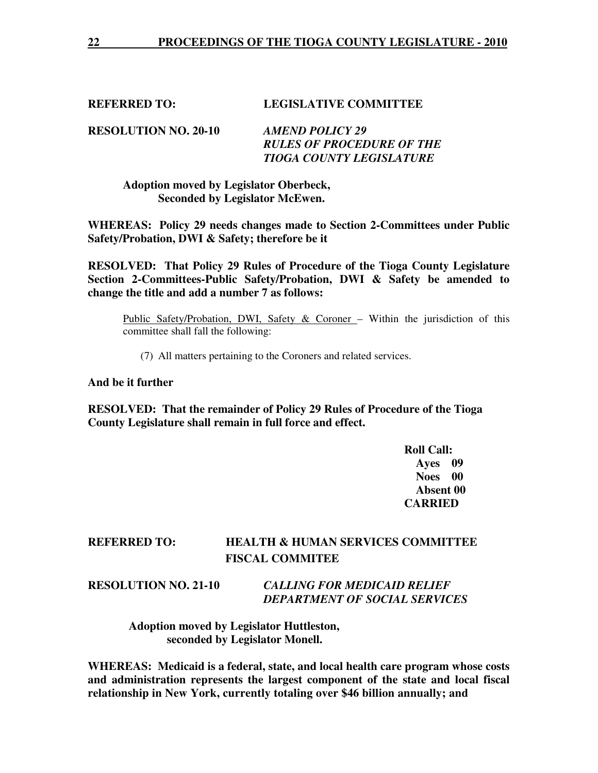## **REFERRED TO: LEGISLATIVE COMMITTEE**

**RESOLUTION NO. 20-10** *AMEND POLICY 29 RULES OF PROCEDURE OF THE TIOGA COUNTY LEGISLATURE* 

 **Adoption moved by Legislator Oberbeck, Seconded by Legislator McEwen.** 

**WHEREAS: Policy 29 needs changes made to Section 2-Committees under Public Safety/Probation, DWI & Safety; therefore be it** 

**RESOLVED: That Policy 29 Rules of Procedure of the Tioga County Legislature Section 2-Committees-Public Safety/Probation, DWI & Safety be amended to change the title and add a number 7 as follows:** 

Public Safety/Probation, DWI, Safety & Coroner – Within the jurisdiction of this committee shall fall the following:

(7) All matters pertaining to the Coroners and related services.

## **And be it further**

**RESOLVED: That the remainder of Policy 29 Rules of Procedure of the Tioga County Legislature shall remain in full force and effect.** 

 **Roll Call: Ayes 09 Noes 00 Absent 00 CARRIED** 

# **REFERRED TO: HEALTH & HUMAN SERVICES COMMITTEE FISCAL COMMITEE**

**RESOLUTION NO. 21-10** *CALLING FOR MEDICAID RELIEF DEPARTMENT OF SOCIAL SERVICES* 

> **Adoption moved by Legislator Huttleston, seconded by Legislator Monell.**

**WHEREAS: Medicaid is a federal, state, and local health care program whose costs and administration represents the largest component of the state and local fiscal relationship in New York, currently totaling over \$46 billion annually; and**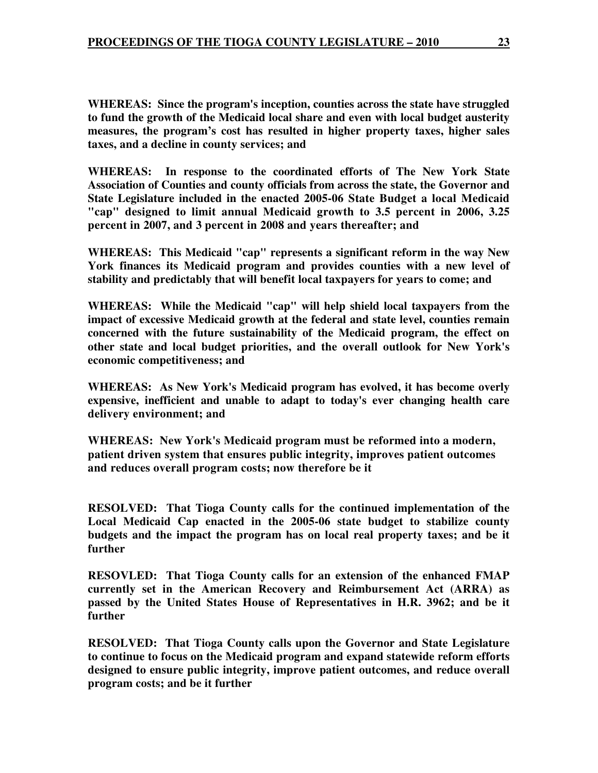**WHEREAS: Since the program's inception, counties across the state have struggled to fund the growth of the Medicaid local share and even with local budget austerity measures, the program's cost has resulted in higher property taxes, higher sales taxes, and a decline in county services; and** 

**WHEREAS: In response to the coordinated efforts of The New York State Association of Counties and county officials from across the state, the Governor and State Legislature included in the enacted 2005-06 State Budget a local Medicaid "cap" designed to limit annual Medicaid growth to 3.5 percent in 2006, 3.25 percent in 2007, and 3 percent in 2008 and years thereafter; and** 

**WHEREAS: This Medicaid "cap" represents a significant reform in the way New York finances its Medicaid program and provides counties with a new level of stability and predictably that will benefit local taxpayers for years to come; and** 

**WHEREAS: While the Medicaid "cap" will help shield local taxpayers from the impact of excessive Medicaid growth at the federal and state level, counties remain concerned with the future sustainability of the Medicaid program, the effect on other state and local budget priorities, and the overall outlook for New York's economic competitiveness; and** 

**WHEREAS: As New York's Medicaid program has evolved, it has become overly expensive, inefficient and unable to adapt to today's ever changing health care delivery environment; and** 

**WHEREAS: New York's Medicaid program must be reformed into a modern, patient driven system that ensures public integrity, improves patient outcomes and reduces overall program costs; now therefore be it** 

**RESOLVED: That Tioga County calls for the continued implementation of the Local Medicaid Cap enacted in the 2005-06 state budget to stabilize county budgets and the impact the program has on local real property taxes; and be it further** 

**RESOVLED: That Tioga County calls for an extension of the enhanced FMAP currently set in the American Recovery and Reimbursement Act (ARRA) as passed by the United States House of Representatives in H.R. 3962; and be it further** 

**RESOLVED: That Tioga County calls upon the Governor and State Legislature to continue to focus on the Medicaid program and expand statewide reform efforts designed to ensure public integrity, improve patient outcomes, and reduce overall program costs; and be it further**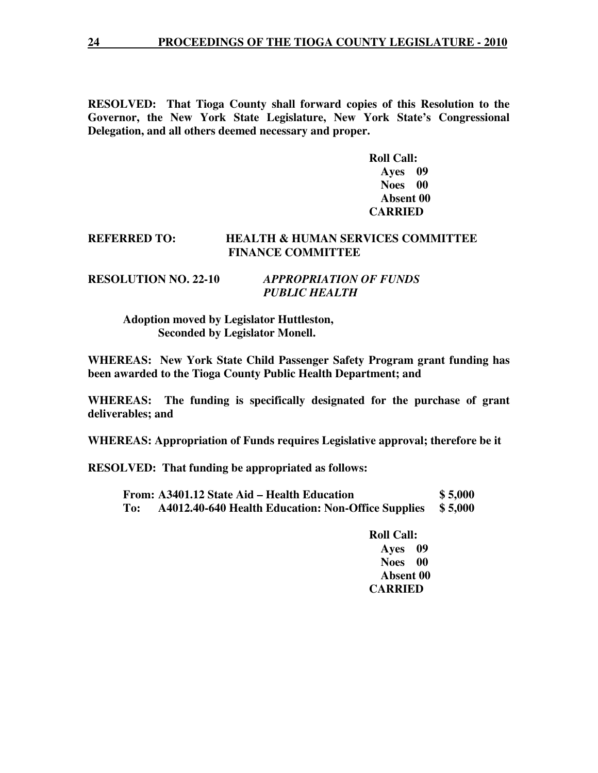**RESOLVED: That Tioga County shall forward copies of this Resolution to the Governor, the New York State Legislature, New York State's Congressional Delegation, and all others deemed necessary and proper.** 

> **Roll Call: Ayes 09 Noes 00 Absent 00 CARRIED**

#### **REFERRED TO: HEALTH & HUMAN SERVICES COMMITTEE FINANCE COMMITTEE**

**RESOLUTION NO. 22-10** *APPROPRIATION OF FUNDS PUBLIC HEALTH* 

> **Adoption moved by Legislator Huttleston, Seconded by Legislator Monell.**

**WHEREAS: New York State Child Passenger Safety Program grant funding has been awarded to the Tioga County Public Health Department; and** 

**WHEREAS: The funding is specifically designated for the purchase of grant deliverables; and** 

**WHEREAS: Appropriation of Funds requires Legislative approval; therefore be it** 

**RESOLVED: That funding be appropriated as follows:**

|     | From: A3401.12 State Aid – Health Education                | \$5,000 |
|-----|------------------------------------------------------------|---------|
| To: | A4012.40-640 Health Education: Non-Office Supplies \$5,000 |         |

 **Roll Call: Ayes 09 Noes 00 Absent 00 CARRIED**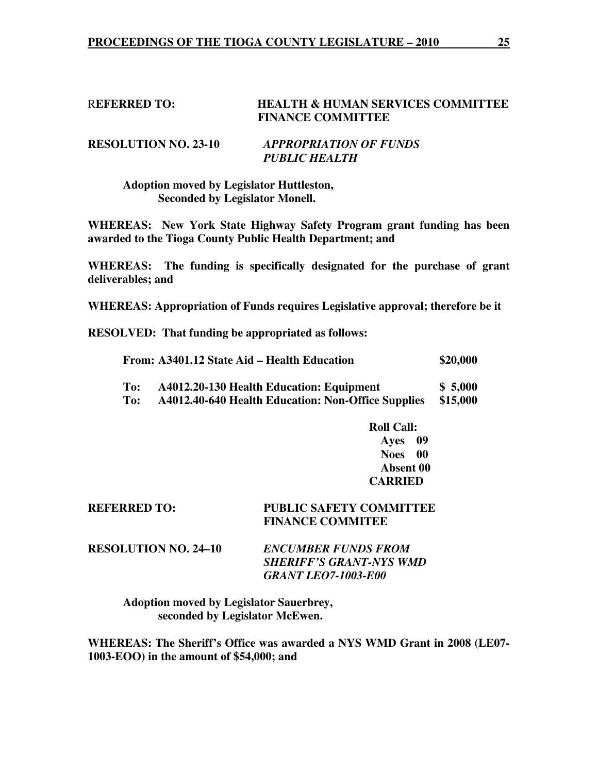#### R**EFERRED TO: HEALTH & HUMAN SERVICES COMMITTEE FINANCE COMMITTEE**

#### **RESOLUTION NO. 23-10** *APPROPRIATION OF FUNDS PUBLIC HEALTH*

#### **Adoption moved by Legislator Huttleston, Seconded by Legislator Monell.**

**WHEREAS: New York State Highway Safety Program grant funding has been awarded to the Tioga County Public Health Department; and** 

**WHEREAS: The funding is specifically designated for the purchase of grant deliverables; and** 

**WHEREAS: Appropriation of Funds requires Legislative approval; therefore be it** 

**RESOLVED: That funding be appropriated as follows:**

| From: A3401.12 State Aid – Health Education |                                                    | \$20,000 |
|---------------------------------------------|----------------------------------------------------|----------|
| To:                                         | A4012.20-130 Health Education: Equipment           | \$5,000  |
| To:                                         | A4012.40-640 Health Education: Non-Office Supplies | \$15,000 |

 **Roll Call: Ayes 09 Noes 00 Absent 00 CARRIED** 

| <b>REFERRED TO:</b> | <b>PUBLIC SAFETY COMMITTEE</b> |
|---------------------|--------------------------------|
|                     | <b>FINANCE COMMITEE</b>        |

**RESOLUTION NO. 24–10** *ENCUMBER FUNDS FROM SHERIFF'S GRANT-NYS WMD GRANT LEO7-1003-E00* 

 **Adoption moved by Legislator Sauerbrey, seconded by Legislator McEwen.** 

**WHEREAS: The Sheriff's Office was awarded a NYS WMD Grant in 2008 (LE07- 1003-EOO) in the amount of \$54,000; and**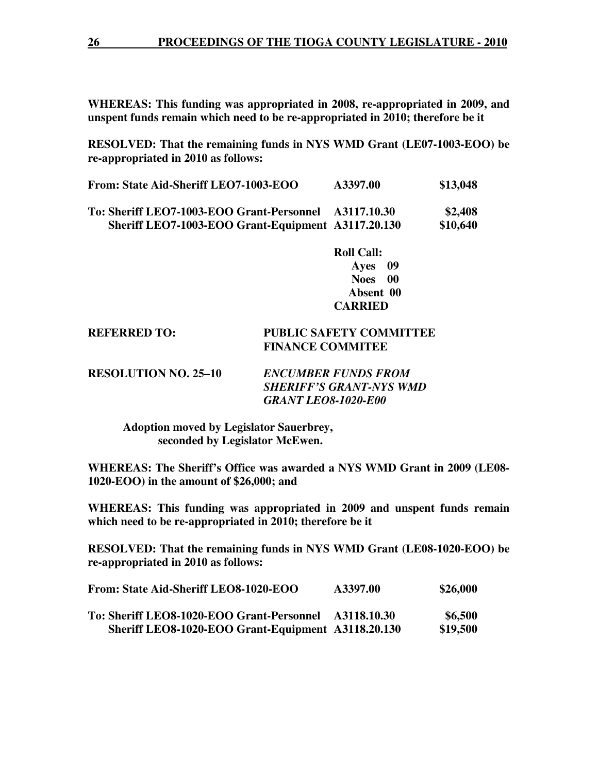**WHEREAS: This funding was appropriated in 2008, re-appropriated in 2009, and unspent funds remain which need to be re-appropriated in 2010; therefore be it** 

**RESOLVED: That the remaining funds in NYS WMD Grant (LE07-1003-EOO) be re-appropriated in 2010 as follows:** 

| From: State Aid-Sheriff LEO7-1003-EOO                                                           | A3397.00    | \$13,048            |
|-------------------------------------------------------------------------------------------------|-------------|---------------------|
| To: Sheriff LEO7-1003-EOO Grant-Personnel<br>Sheriff LEO7-1003-EOO Grant-Equipment A3117.20.130 | A3117.10.30 | \$2,408<br>\$10,640 |

**Roll Call: Ayes 09 Noes 00 Absent 00 CARRIED** 

### **REFERRED TO: PUBLIC SAFETY COMMITTEE FINANCE COMMITEE**

**RESOLUTION NO. 25–10** *ENCUMBER FUNDS FROM SHERIFF'S GRANT-NYS WMD GRANT LEO8-1020-E00* 

> **Adoption moved by Legislator Sauerbrey, seconded by Legislator McEwen.**

**WHEREAS: The Sheriff's Office was awarded a NYS WMD Grant in 2009 (LE08- 1020-EOO) in the amount of \$26,000; and** 

**WHEREAS: This funding was appropriated in 2009 and unspent funds remain which need to be re-appropriated in 2010; therefore be it** 

**RESOLVED: That the remaining funds in NYS WMD Grant (LE08-1020-EOO) be re-appropriated in 2010 as follows:** 

| From: State Aid-Sheriff LEO8-1020-EOO | A3397.00 | \$26,000 |
|---------------------------------------|----------|----------|
|---------------------------------------|----------|----------|

| To: Sheriff LEO8-1020-EOO Grant-Personnel A3118.10.30 | \$6,500  |
|-------------------------------------------------------|----------|
| Sheriff LEO8-1020-EOO Grant-Equipment A3118.20.130    | \$19,500 |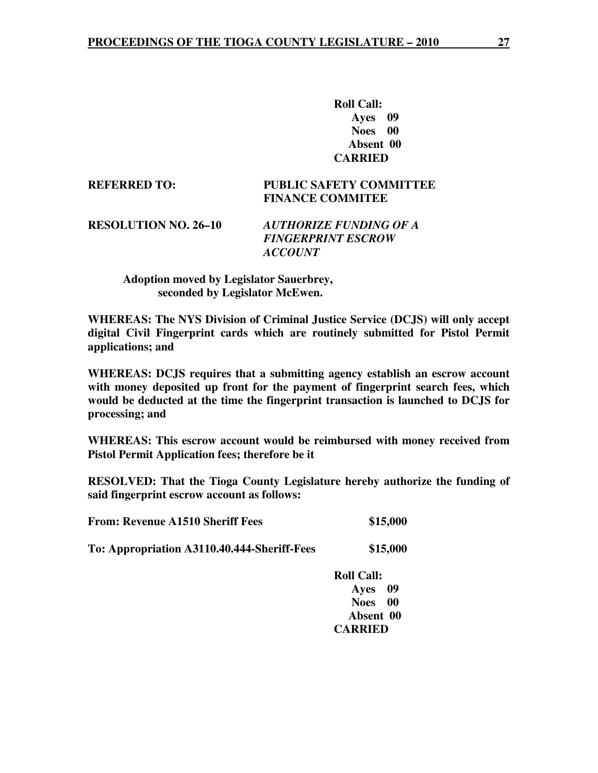**Roll Call: Ayes 09 Noes 00 Absent 00 CARRIED** 

**REFERRED TO: PUBLIC SAFETY COMMITTEE FINANCE COMMITEE** 

**RESOLUTION NO. 26–10** *AUTHORIZE FUNDING OF A FINGERPRINT ESCROW ACCOUNT* 

> **Adoption moved by Legislator Sauerbrey, seconded by Legislator McEwen.**

**WHEREAS: The NYS Division of Criminal Justice Service (DCJS) will only accept digital Civil Fingerprint cards which are routinely submitted for Pistol Permit applications; and** 

**WHEREAS: DCJS requires that a submitting agency establish an escrow account with money deposited up front for the payment of fingerprint search fees, which would be deducted at the time the fingerprint transaction is launched to DCJS for processing; and** 

**WHEREAS: This escrow account would be reimbursed with money received from Pistol Permit Application fees; therefore be it** 

**RESOLVED: That the Tioga County Legislature hereby authorize the funding of said fingerprint escrow account as follows:** 

**To: Appropriation A3110.40.444-Sheriff-Fees \$15,000** 

**Roll Call: Ayes 09 Noes 00 Absent 00 CARRIED**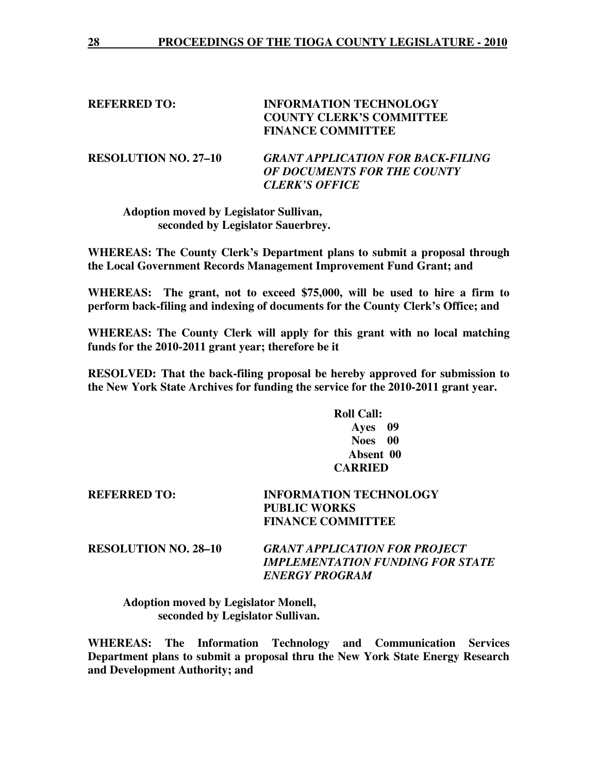# **REFERRED TO: INFORMATION TECHNOLOGY COUNTY CLERK'S COMMITTEE FINANCE COMMITTEE**

**RESOLUTION NO. 27–10** *GRANT APPLICATION FOR BACK-FILING OF DOCUMENTS FOR THE COUNTY CLERK'S OFFICE* 

 **Adoption moved by Legislator Sullivan, seconded by Legislator Sauerbrey.** 

**WHEREAS: The County Clerk's Department plans to submit a proposal through the Local Government Records Management Improvement Fund Grant; and** 

**WHEREAS: The grant, not to exceed \$75,000, will be used to hire a firm to perform back-filing and indexing of documents for the County Clerk's Office; and** 

**WHEREAS: The County Clerk will apply for this grant with no local matching funds for the 2010-2011 grant year; therefore be it**

**RESOLVED: That the back-filing proposal be hereby approved for submission to the New York State Archives for funding the service for the 2010-2011 grant year.** 

> **Roll Call: Ayes 09 Noes 00 Absent 00 CARRIED**

| <b>REFERRED TO:</b> | <b>INFORMATION TECHNOLOGY</b> |
|---------------------|-------------------------------|
|                     | <b>PUBLIC WORKS</b>           |
|                     | <b>FINANCE COMMITTEE</b>      |
|                     |                               |

**RESOLUTION NO. 28–10** *GRANT APPLICATION FOR PROJECT IMPLEMENTATION FUNDING FOR STATE ENERGY PROGRAM* 

 **Adoption moved by Legislator Monell, seconded by Legislator Sullivan.** 

**WHEREAS: The Information Technology and Communication Services Department plans to submit a proposal thru the New York State Energy Research and Development Authority; and**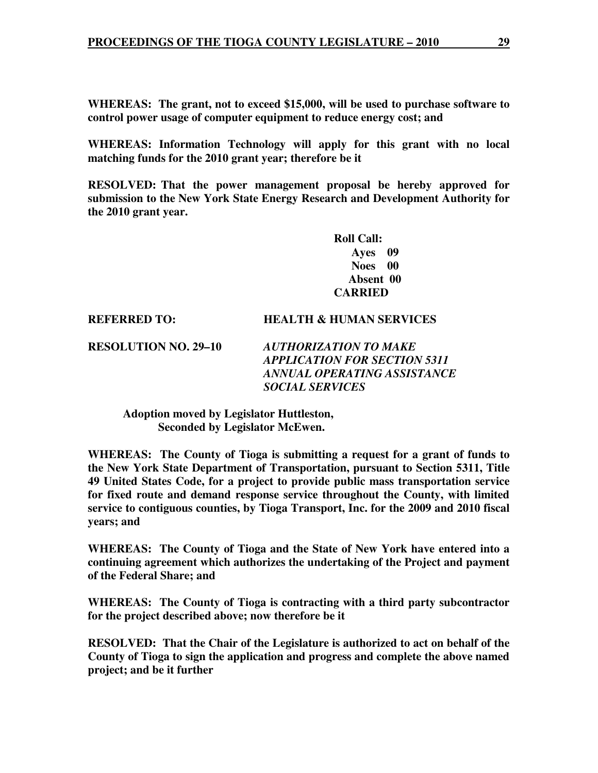**WHEREAS: The grant, not to exceed \$15,000, will be used to purchase software to control power usage of computer equipment to reduce energy cost; and** 

**WHEREAS: Information Technology will apply for this grant with no local matching funds for the 2010 grant year; therefore be it** 

**RESOLVED: That the power management proposal be hereby approved for submission to the New York State Energy Research and Development Authority for the 2010 grant year.** 

> **Roll Call: Ayes 09 Noes 00 Absent 00 CARRIED**

### **REFERRED TO: HEALTH & HUMAN SERVICES**

**RESOLUTION NO. 29–10** *AUTHORIZATION TO MAKE APPLICATION FOR SECTION 5311 ANNUAL OPERATING ASSISTANCE SOCIAL SERVICES* 

 **Adoption moved by Legislator Huttleston, Seconded by Legislator McEwen.** 

**WHEREAS: The County of Tioga is submitting a request for a grant of funds to the New York State Department of Transportation, pursuant to Section 5311, Title 49 United States Code, for a project to provide public mass transportation service for fixed route and demand response service throughout the County, with limited service to contiguous counties, by Tioga Transport, Inc. for the 2009 and 2010 fiscal years; and** 

**WHEREAS: The County of Tioga and the State of New York have entered into a continuing agreement which authorizes the undertaking of the Project and payment of the Federal Share; and** 

**WHEREAS: The County of Tioga is contracting with a third party subcontractor for the project described above; now therefore be it** 

**RESOLVED: That the Chair of the Legislature is authorized to act on behalf of the County of Tioga to sign the application and progress and complete the above named project; and be it further**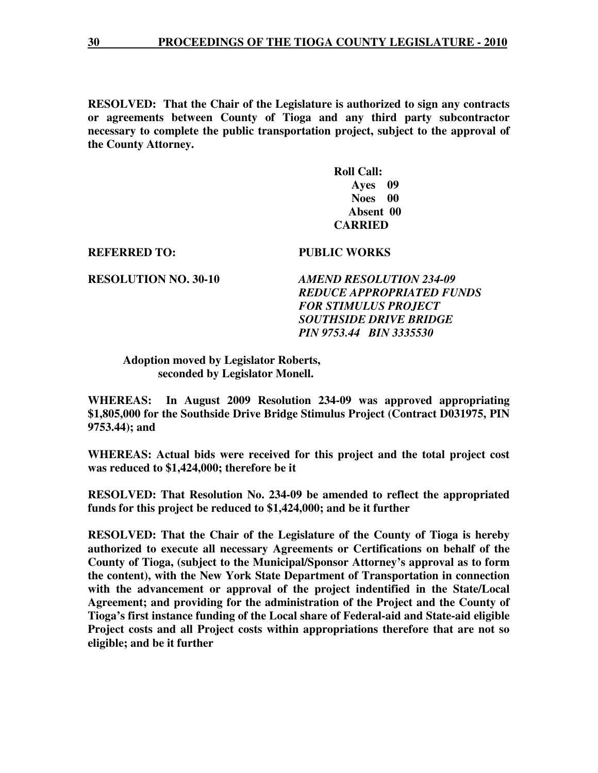**RESOLVED: That the Chair of the Legislature is authorized to sign any contracts or agreements between County of Tioga and any third party subcontractor necessary to complete the public transportation project, subject to the approval of the County Attorney.** 

> **Roll Call: Ayes 09 Noes 00 Absent 00 CARRIED**

### **REFERRED TO: PUBLIC WORKS**

**RESOLUTION NO. 30-10** *AMEND RESOLUTION 234-09 REDUCE APPROPRIATED FUNDS FOR STIMULUS PROJECT SOUTHSIDE DRIVE BRIDGE PIN 9753.44 BIN 3335530* 

## **Adoption moved by Legislator Roberts, seconded by Legislator Monell.**

**WHEREAS: In August 2009 Resolution 234-09 was approved appropriating \$1,805,000 for the Southside Drive Bridge Stimulus Project (Contract D031975, PIN 9753.44); and** 

**WHEREAS: Actual bids were received for this project and the total project cost was reduced to \$1,424,000; therefore be it** 

**RESOLVED: That Resolution No. 234-09 be amended to reflect the appropriated funds for this project be reduced to \$1,424,000; and be it further** 

**RESOLVED: That the Chair of the Legislature of the County of Tioga is hereby authorized to execute all necessary Agreements or Certifications on behalf of the County of Tioga, (subject to the Municipal/Sponsor Attorney's approval as to form the content), with the New York State Department of Transportation in connection with the advancement or approval of the project indentified in the State/Local Agreement; and providing for the administration of the Project and the County of Tioga's first instance funding of the Local share of Federal-aid and State-aid eligible Project costs and all Project costs within appropriations therefore that are not so eligible; and be it further**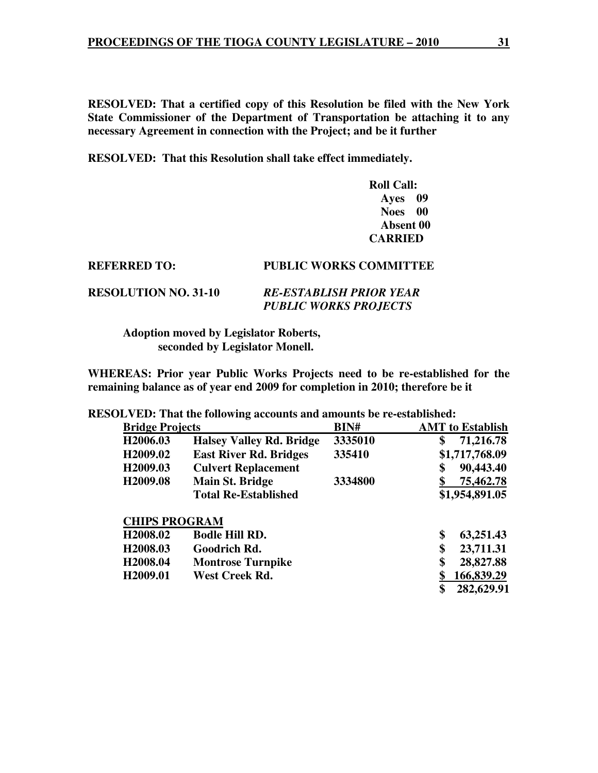**RESOLVED: That a certified copy of this Resolution be filed with the New York State Commissioner of the Department of Transportation be attaching it to any necessary Agreement in connection with the Project; and be it further** 

**RESOLVED: That this Resolution shall take effect immediately.** 

 **Roll Call: Ayes 09 Noes 00 Absent 00 CARRIED** 

| <b>REFERRED TO:</b>         | <b>PUBLIC WORKS COMMITTEE</b>                                  |
|-----------------------------|----------------------------------------------------------------|
| <b>RESOLUTION NO. 31-10</b> | <b>RE-ESTABLISH PRIOR YEAR</b><br><b>PUBLIC WORKS PROJECTS</b> |

 **Adoption moved by Legislator Roberts, seconded by Legislator Monell.** 

**WHEREAS: Prior year Public Works Projects need to be re-established for the remaining balance as of year end 2009 for completion in 2010; therefore be it** 

**RESOLVED: That the following accounts and amounts be re-established:** 

| <b>Bridge Projects</b> |                                 | BIN#    | <b>AMT</b> to Establish |
|------------------------|---------------------------------|---------|-------------------------|
| H2006.03               | <b>Halsey Valley Rd. Bridge</b> | 3335010 | 71,216.78<br>\$         |
| H <sub>2009.02</sub>   | <b>East River Rd. Bridges</b>   | 335410  | \$1,717,768.09          |
| H <sub>2009.03</sub>   | <b>Culvert Replacement</b>      |         | 90,443.40<br>\$         |
| H <sub>2009.08</sub>   | <b>Main St. Bridge</b>          | 3334800 | 75,462.78               |
|                        | <b>Total Re-Established</b>     |         | \$1,954,891.05          |
| <b>CHIPS PROGRAM</b>   |                                 |         |                         |
| H <sub>2008.02</sub>   | <b>Bodle Hill RD.</b>           |         | \$<br>63,251.43         |
| H <sub>2008.03</sub>   | Goodrich Rd.                    |         | \$<br>23,711.31         |
| H <sub>2008.04</sub>   | <b>Montrose Turnpike</b>        |         | \$<br>28,827.88         |
| H <sub>2009.01</sub>   | West Creek Rd.                  |         | 166,839.29              |
|                        |                                 |         | 282,629.91<br>\$        |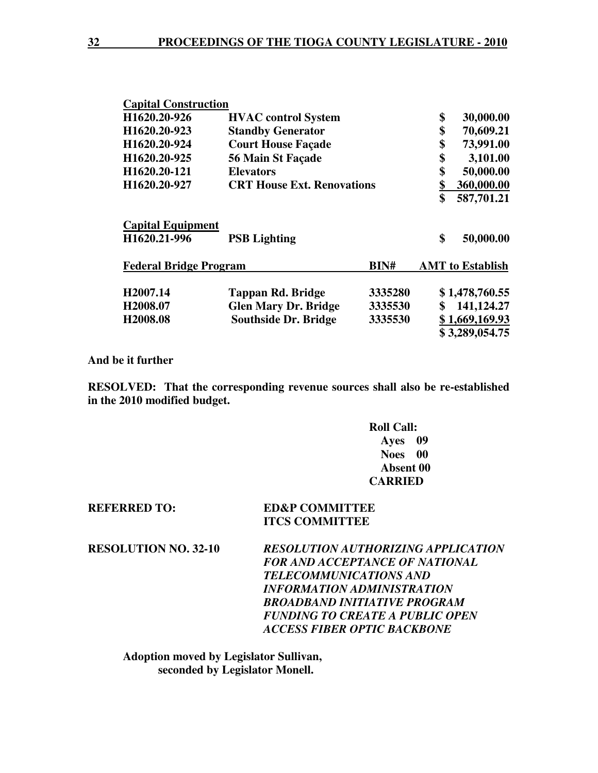| <b>Capital Construction</b>   |                                   |         |                         |
|-------------------------------|-----------------------------------|---------|-------------------------|
| H1620.20-926                  | <b>HVAC</b> control System        |         | \$<br>30,000.00         |
| H1620.20-923                  | <b>Standby Generator</b>          |         | \$<br>70,609.21         |
| H1620.20-924                  | <b>Court House Façade</b>         |         | \$<br>73,991.00         |
| H1620.20-925                  | 56 Main St Façade                 |         | \$<br>3,101.00          |
| H1620.20-121                  | <b>Elevators</b>                  |         | \$<br>50,000.00         |
| H1620.20-927                  | <b>CRT House Ext. Renovations</b> |         | \$<br>360,000.00        |
|                               |                                   |         | \$<br>587,701.21        |
| <b>Capital Equipment</b>      |                                   |         |                         |
| H1620.21-996                  | <b>PSB Lighting</b>               |         | \$<br>50,000.00         |
| <b>Federal Bridge Program</b> |                                   | BIN#    | <b>AMT</b> to Establish |
| H <sub>2007.14</sub>          | <b>Tappan Rd. Bridge</b>          | 3335280 | \$1,478,760.55          |
| H2008.07                      | <b>Glen Mary Dr. Bridge</b>       | 3335530 | \$<br>141,124.27        |
| H <sub>2008.08</sub>          | <b>Southside Dr. Bridge</b>       | 3335530 | \$1,669,169.93          |
|                               |                                   |         | \$3,289,054.75          |

### **And be it further**

**RESOLVED: That the corresponding revenue sources shall also be re-established in the 2010 modified budget.** 

| <b>Roll Call:</b>   |
|---------------------|
| Ayes 09             |
| <b>Noes</b><br>- 00 |
| Absent 00           |
| <b>CARRIED</b>      |

| <b>REFERRED TO:</b>         | <b>ED&amp;P COMMITTEE</b>                 |  |
|-----------------------------|-------------------------------------------|--|
|                             | <b>ITCS COMMITTEE</b>                     |  |
| <b>RESOLUTION NO. 32-10</b> | <b>RESOLUTION AUTHORIZING APPLICATION</b> |  |
|                             | <b>FOR AND ACCEPTANCE OF NATIONAL</b>     |  |
|                             | <i>TELECOMMUNICATIONS AND</i>             |  |
|                             | <i><b>INFORMATION ADMINISTRATION</b></i>  |  |
|                             | <b>BROADBAND INITIATIVE PROGRAM</b>       |  |
|                             | FUNDING TO CREATE A PUBLIC OPEN           |  |
|                             | <b>ACCESS FIBER OPTIC BACKBONE</b>        |  |
|                             |                                           |  |

 **Adoption moved by Legislator Sullivan, seconded by Legislator Monell.**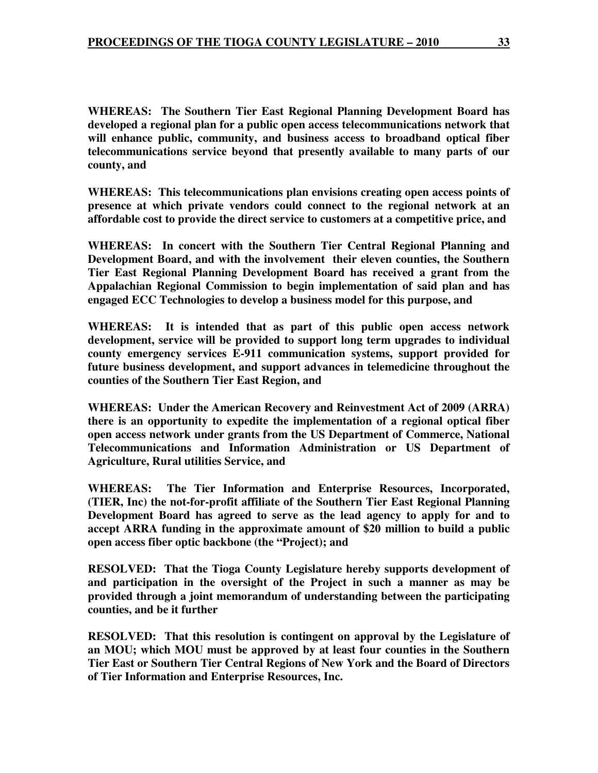**WHEREAS: The Southern Tier East Regional Planning Development Board has developed a regional plan for a public open access telecommunications network that will enhance public, community, and business access to broadband optical fiber telecommunications service beyond that presently available to many parts of our county, and** 

**WHEREAS: This telecommunications plan envisions creating open access points of presence at which private vendors could connect to the regional network at an affordable cost to provide the direct service to customers at a competitive price, and** 

**WHEREAS: In concert with the Southern Tier Central Regional Planning and Development Board, and with the involvement their eleven counties, the Southern Tier East Regional Planning Development Board has received a grant from the Appalachian Regional Commission to begin implementation of said plan and has engaged ECC Technologies to develop a business model for this purpose, and** 

**WHEREAS: It is intended that as part of this public open access network development, service will be provided to support long term upgrades to individual county emergency services E-911 communication systems, support provided for future business development, and support advances in telemedicine throughout the counties of the Southern Tier East Region, and** 

**WHEREAS: Under the American Recovery and Reinvestment Act of 2009 (ARRA) there is an opportunity to expedite the implementation of a regional optical fiber open access network under grants from the US Department of Commerce, National Telecommunications and Information Administration or US Department of Agriculture, Rural utilities Service, and** 

**WHEREAS: The Tier Information and Enterprise Resources, Incorporated, (TIER, Inc) the not-for-profit affiliate of the Southern Tier East Regional Planning Development Board has agreed to serve as the lead agency to apply for and to accept ARRA funding in the approximate amount of \$20 million to build a public open access fiber optic backbone (the "Project); and** 

**RESOLVED: That the Tioga County Legislature hereby supports development of and participation in the oversight of the Project in such a manner as may be provided through a joint memorandum of understanding between the participating counties, and be it further** 

**RESOLVED: That this resolution is contingent on approval by the Legislature of an MOU; which MOU must be approved by at least four counties in the Southern Tier East or Southern Tier Central Regions of New York and the Board of Directors of Tier Information and Enterprise Resources, Inc.**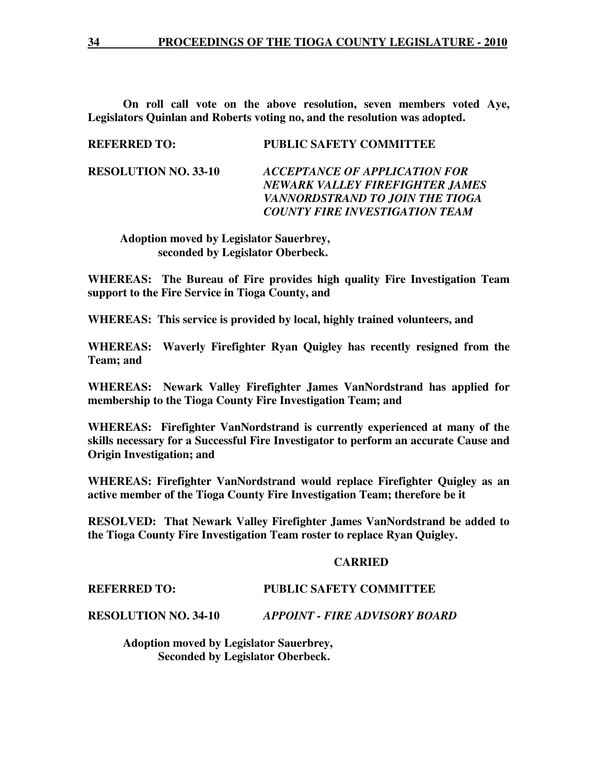**34 PROCEEDINGS OF THE TIOGA COUNTY LEGISLATURE - 2010**

 **On roll call vote on the above resolution, seven members voted Aye, Legislators Quinlan and Roberts voting no, and the resolution was adopted.** 

| <b>REFERRED TO:</b>         | <b>PUBLIC SAFETY COMMITTEE</b>                                                                                                                             |
|-----------------------------|------------------------------------------------------------------------------------------------------------------------------------------------------------|
| <b>RESOLUTION NO. 33-10</b> | <b>ACCEPTANCE OF APPLICATION FOR</b><br><b>NEWARK VALLEY FIREFIGHTER JAMES</b><br>VANNORDSTRAND TO JOIN THE TIOGA<br><b>COUNTY FIRE INVESTIGATION TEAM</b> |

 **Adoption moved by Legislator Sauerbrey, seconded by Legislator Oberbeck.** 

**WHEREAS: The Bureau of Fire provides high quality Fire Investigation Team support to the Fire Service in Tioga County, and** 

**WHEREAS: This service is provided by local, highly trained volunteers, and** 

**WHEREAS: Waverly Firefighter Ryan Quigley has recently resigned from the Team; and** 

**WHEREAS: Newark Valley Firefighter James VanNordstrand has applied for membership to the Tioga County Fire Investigation Team; and** 

**WHEREAS: Firefighter VanNordstrand is currently experienced at many of the skills necessary for a Successful Fire Investigator to perform an accurate Cause and Origin Investigation; and** 

**WHEREAS: Firefighter VanNordstrand would replace Firefighter Quigley as an active member of the Tioga County Fire Investigation Team; therefore be it** 

**RESOLVED: That Newark Valley Firefighter James VanNordstrand be added to the Tioga County Fire Investigation Team roster to replace Ryan Quigley.** 

#### **CARRIED**

#### **REFERRED TO: PUBLIC SAFETY COMMITTEE**

**RESOLUTION NO. 34-10** *APPOINT - FIRE ADVISORY BOARD*

**Adoption moved by Legislator Sauerbrey, Seconded by Legislator Oberbeck.**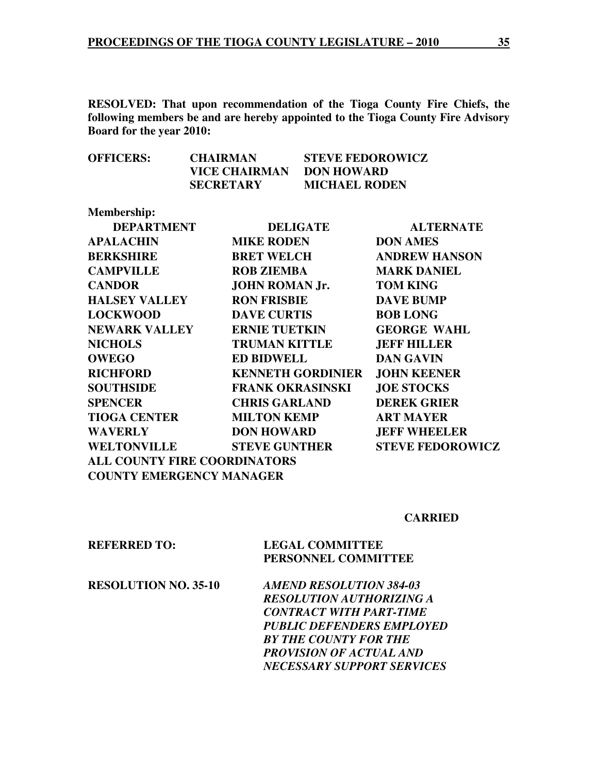**RESOLVED: That upon recommendation of the Tioga County Fire Chiefs, the following members be and are hereby appointed to the Tioga County Fire Advisory Board for the year 2010:** 

| <b>OFFICERS:</b> | <b>CHAIRMAN</b>  | <b>STEVE FEDOROWICZ</b> |
|------------------|------------------|-------------------------|
|                  | VICE CHAIRMAN    | <b>DON HOWARD</b>       |
|                  | <b>SECRETARY</b> | <b>MICHAEL RODEN</b>    |

| <b>DELIGATE</b>          | <b>ALTERNATE</b>                                                       |
|--------------------------|------------------------------------------------------------------------|
| <b>MIKE RODEN</b>        | <b>DON AMES</b>                                                        |
| <b>BRET WELCH</b>        | <b>ANDREW HANSON</b>                                                   |
| <b>ROB ZIEMBA</b>        | <b>MARK DANIEL</b>                                                     |
| <b>JOHN ROMAN Jr.</b>    | <b>TOM KING</b>                                                        |
| <b>RON FRISBIE</b>       | <b>DAVE BUMP</b>                                                       |
| <b>DAVE CURTIS</b>       | <b>BOB LONG</b>                                                        |
| <b>ERNIE TUETKIN</b>     | <b>GEORGE WAHL</b>                                                     |
| <b>TRUMAN KITTLE</b>     | <b>JEFF HILLER</b>                                                     |
| <b>ED BIDWELL</b>        | <b>DAN GAVIN</b>                                                       |
| <b>KENNETH GORDINIER</b> | <b>JOHN KEENER</b>                                                     |
| <b>FRANK OKRASINSKI</b>  | <b>JOE STOCKS</b>                                                      |
| <b>CHRIS GARLAND</b>     | <b>DEREK GRIER</b>                                                     |
| <b>MILTON KEMP</b>       | <b>ART MAYER</b>                                                       |
| <b>DON HOWARD</b>        | <b>JEFF WHEELER</b>                                                    |
| <b>STEVE GUNTHER</b>     | <b>STEVE FEDOROWICZ</b>                                                |
|                          |                                                                        |
|                          |                                                                        |
|                          | <b>ALL COUNTY FIRE COORDINATORS</b><br><b>COUNTY EMERGENCY MANAGER</b> |

# **CARRIED**

| <b>REFERRED TO:</b>         | <b>LEGAL COMMITTEE</b><br>PERSONNEL COMMITTEE |
|-----------------------------|-----------------------------------------------|
| <b>RESOLUTION NO. 35-10</b> | <b>AMEND RESOLUTION 384-03</b>                |
|                             | <b>RESOLUTION AUTHORIZING A</b>               |
|                             | <b>CONTRACT WITH PART-TIME</b>                |
|                             | <b>PUBLIC DEFENDERS EMPLOYED</b>              |
|                             | <b>BY THE COUNTY FOR THE</b>                  |
|                             | <b>PROVISION OF ACTUAL AND</b>                |
|                             | <b>NECESSARY SUPPORT SERVICES</b>             |
|                             |                                               |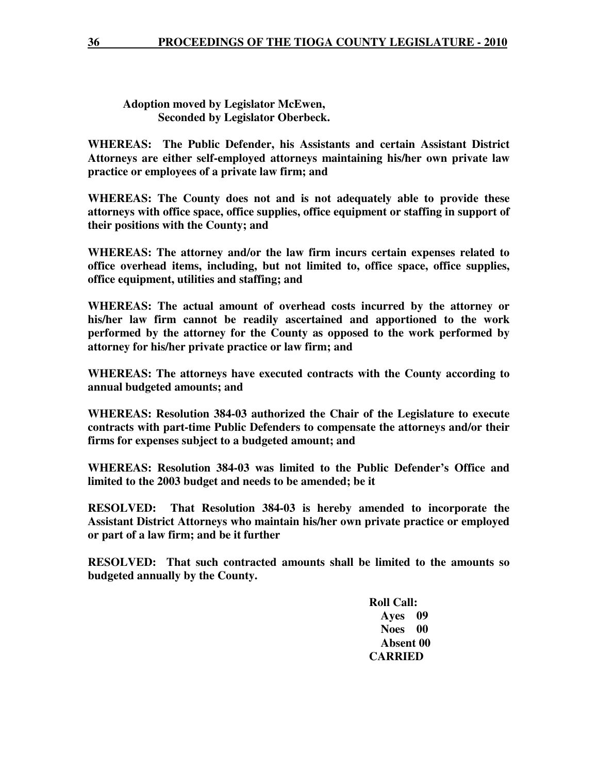**Adoption moved by Legislator McEwen, Seconded by Legislator Oberbeck.** 

**WHEREAS: The Public Defender, his Assistants and certain Assistant District Attorneys are either self-employed attorneys maintaining his/her own private law practice or employees of a private law firm; and** 

**WHEREAS: The County does not and is not adequately able to provide these attorneys with office space, office supplies, office equipment or staffing in support of their positions with the County; and** 

**WHEREAS: The attorney and/or the law firm incurs certain expenses related to office overhead items, including, but not limited to, office space, office supplies, office equipment, utilities and staffing; and** 

**WHEREAS: The actual amount of overhead costs incurred by the attorney or his/her law firm cannot be readily ascertained and apportioned to the work performed by the attorney for the County as opposed to the work performed by attorney for his/her private practice or law firm; and** 

**WHEREAS: The attorneys have executed contracts with the County according to annual budgeted amounts; and** 

**WHEREAS: Resolution 384-03 authorized the Chair of the Legislature to execute contracts with part-time Public Defenders to compensate the attorneys and/or their firms for expenses subject to a budgeted amount; and** 

**WHEREAS: Resolution 384-03 was limited to the Public Defender's Office and limited to the 2003 budget and needs to be amended; be it** 

**RESOLVED: That Resolution 384-03 is hereby amended to incorporate the Assistant District Attorneys who maintain his/her own private practice or employed or part of a law firm; and be it further** 

**RESOLVED: That such contracted amounts shall be limited to the amounts so budgeted annually by the County.** 

> **Roll Call: Ayes 09 Noes 00 Absent 00 CARRIED**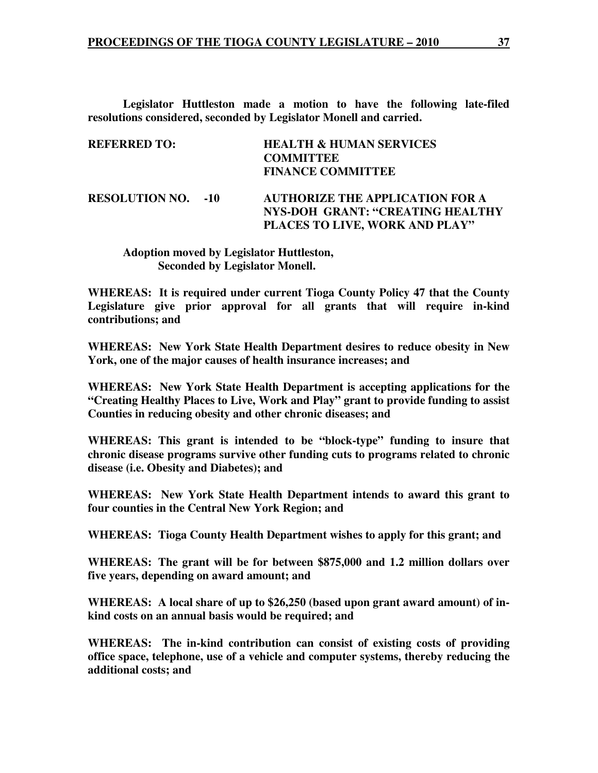**Legislator Huttleston made a motion to have the following late-filed resolutions considered, seconded by Legislator Monell and carried.** 

| <b>REFERRED TO:</b>       | <b>HEALTH &amp; HUMAN SERVICES</b><br><b>COMMITTEE</b><br><b>FINANCE COMMITTEE</b>                           |
|---------------------------|--------------------------------------------------------------------------------------------------------------|
| <b>RESOLUTION NO. -10</b> | <b>AUTHORIZE THE APPLICATION FOR A</b><br>NYS-DOH GRANT: "CREATING HEALTHY<br>PLACES TO LIVE, WORK AND PLAY" |

 **Adoption moved by Legislator Huttleston, Seconded by Legislator Monell.** 

**WHEREAS: It is required under current Tioga County Policy 47 that the County Legislature give prior approval for all grants that will require in-kind contributions; and** 

**WHEREAS: New York State Health Department desires to reduce obesity in New York, one of the major causes of health insurance increases; and** 

**WHEREAS: New York State Health Department is accepting applications for the "Creating Healthy Places to Live, Work and Play" grant to provide funding to assist Counties in reducing obesity and other chronic diseases; and** 

**WHEREAS: This grant is intended to be "block-type" funding to insure that chronic disease programs survive other funding cuts to programs related to chronic disease (i.e. Obesity and Diabetes); and** 

**WHEREAS: New York State Health Department intends to award this grant to four counties in the Central New York Region; and** 

**WHEREAS: Tioga County Health Department wishes to apply for this grant; and** 

**WHEREAS: The grant will be for between \$875,000 and 1.2 million dollars over five years, depending on award amount; and** 

**WHEREAS: A local share of up to \$26,250 (based upon grant award amount) of inkind costs on an annual basis would be required; and** 

**WHEREAS: The in-kind contribution can consist of existing costs of providing office space, telephone, use of a vehicle and computer systems, thereby reducing the additional costs; and**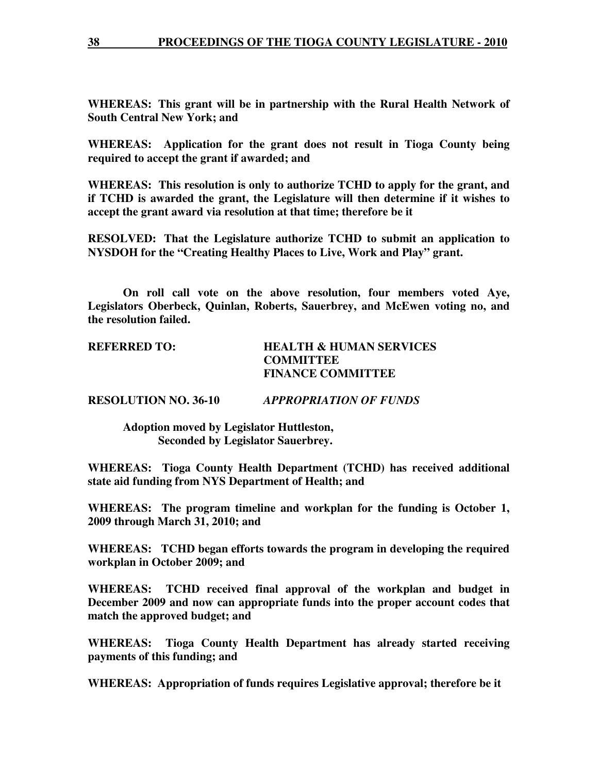**WHEREAS: This grant will be in partnership with the Rural Health Network of South Central New York; and** 

**WHEREAS: Application for the grant does not result in Tioga County being required to accept the grant if awarded; and** 

**WHEREAS: This resolution is only to authorize TCHD to apply for the grant, and if TCHD is awarded the grant, the Legislature will then determine if it wishes to accept the grant award via resolution at that time; therefore be it** 

**RESOLVED: That the Legislature authorize TCHD to submit an application to NYSDOH for the "Creating Healthy Places to Live, Work and Play" grant.** 

 **On roll call vote on the above resolution, four members voted Aye, Legislators Oberbeck, Quinlan, Roberts, Sauerbrey, and McEwen voting no, and the resolution failed.** 

| <b>REFERRED TO:</b> | <b>HEALTH &amp; HUMAN SERVICES</b> |
|---------------------|------------------------------------|
|                     | <b>COMMITTEE</b>                   |
|                     | <b>FINANCE COMMITTEE</b>           |

**RESOLUTION NO. 36-10** *APPROPRIATION OF FUNDS*

 **Adoption moved by Legislator Huttleston, Seconded by Legislator Sauerbrey.** 

**WHEREAS: Tioga County Health Department (TCHD) has received additional state aid funding from NYS Department of Health; and** 

**WHEREAS: The program timeline and workplan for the funding is October 1, 2009 through March 31, 2010; and** 

**WHEREAS: TCHD began efforts towards the program in developing the required workplan in October 2009; and** 

**WHEREAS: TCHD received final approval of the workplan and budget in December 2009 and now can appropriate funds into the proper account codes that match the approved budget; and** 

**WHEREAS: Tioga County Health Department has already started receiving payments of this funding; and** 

**WHEREAS: Appropriation of funds requires Legislative approval; therefore be it**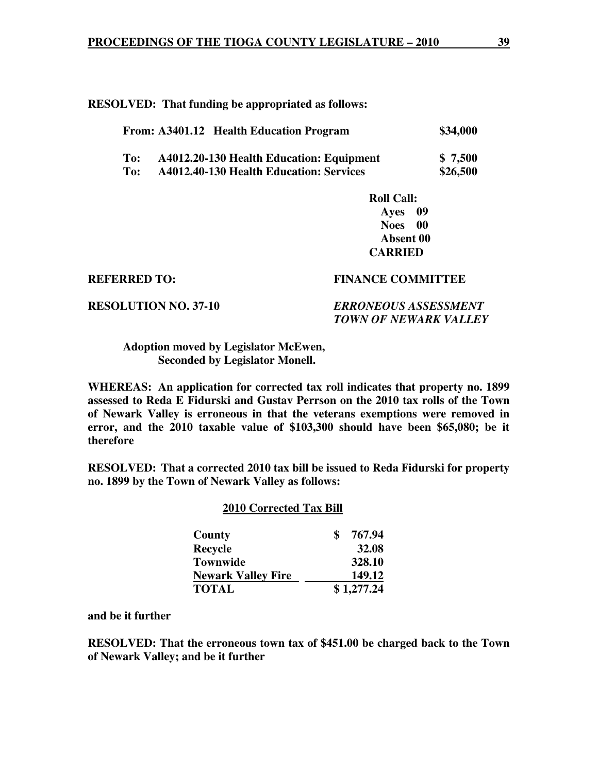**RESOLVED: That funding be appropriated as follows:**

|     | From: A3401.12 Health Education Program  | \$34,000 |
|-----|------------------------------------------|----------|
| To: | A4012.20-130 Health Education: Equipment | \$7,500  |
| To: | A4012.40-130 Health Education: Services  | \$26,500 |

 **Roll Call: Ayes 09 Noes 00 Absent 00 CARRIED** 

#### **REFERRED TO: FINANCE COMMITTEE**

**RESOLUTION NO. 37-10** *ERRONEOUS ASSESSMENT* 

 *TOWN OF NEWARK VALLEY* 

### **Adoption moved by Legislator McEwen, Seconded by Legislator Monell.**

**WHEREAS: An application for corrected tax roll indicates that property no. 1899 assessed to Reda E Fidurski and Gustav Perrson on the 2010 tax rolls of the Town of Newark Valley is erroneous in that the veterans exemptions were removed in error, and the 2010 taxable value of \$103,300 should have been \$65,080; be it therefore** 

**RESOLVED: That a corrected 2010 tax bill be issued to Reda Fidurski for property no. 1899 by the Town of Newark Valley as follows:** 

#### **2010 Corrected Tax Bill**

| County                    | 767.94     |
|---------------------------|------------|
| <b>Recycle</b>            | 32.08      |
| <b>Townwide</b>           | 328.10     |
| <b>Newark Valley Fire</b> | 149.12     |
| <b>TOTAL</b>              | \$1,277.24 |

**and be it further** 

**RESOLVED: That the erroneous town tax of \$451.00 be charged back to the Town of Newark Valley; and be it further**